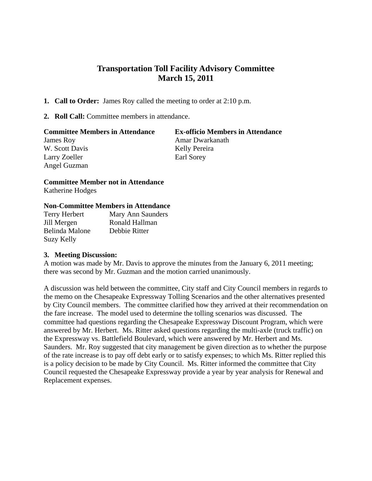## **Transportation Toll Facility Advisory Committee March 15, 2011**

- **1. Call to Order:** James Roy called the meeting to order at 2:10 p.m.
- **2. Roll Call:** Committee members in attendance.

| <b>Committee Members in Attendance</b> | <b>Ex-officio Members in Attendance</b> |
|----------------------------------------|-----------------------------------------|
| James Roy                              | Amar Dwarkanath                         |
| W. Scott Davis                         | Kelly Pereira                           |
| Larry Zoeller                          | Earl Sorey                              |
| Angel Guzman                           |                                         |

## **Committee Member not in Attendance**

Katherine Hodges

## **Non-Committee Members in Attendance**

| Terry Herbert  | Mary Ann Saunders |
|----------------|-------------------|
| Jill Mergen    | Ronald Hallman    |
| Belinda Malone | Debbie Ritter     |
| Suzy Kelly     |                   |

## **3. Meeting Discussion:**

A motion was made by Mr. Davis to approve the minutes from the January 6, 2011 meeting; there was second by Mr. Guzman and the motion carried unanimously.

A discussion was held between the committee, City staff and City Council members in regards to the memo on the Chesapeake Expressway Tolling Scenarios and the other alternatives presented by City Council members. The committee clarified how they arrived at their recommendation on the fare increase. The model used to determine the tolling scenarios was discussed. The committee had questions regarding the Chesapeake Expressway Discount Program, which were answered by Mr. Herbert. Ms. Ritter asked questions regarding the multi-axle (truck traffic) on the Expressway vs. Battlefield Boulevard, which were answered by Mr. Herbert and Ms. Saunders. Mr. Roy suggested that city management be given direction as to whether the purpose of the rate increase is to pay off debt early or to satisfy expenses; to which Ms. Ritter replied this is a policy decision to be made by City Council. Ms. Ritter informed the committee that City Council requested the Chesapeake Expressway provide a year by year analysis for Renewal and Replacement expenses.